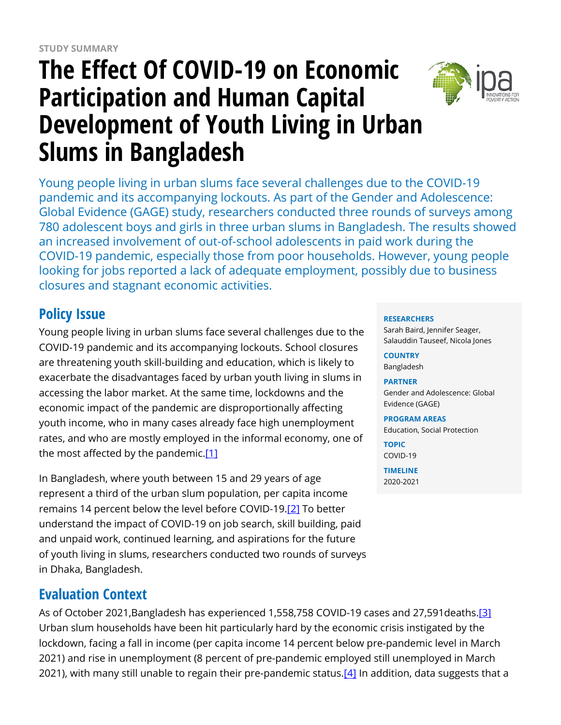# **The Effect Of COVID-19 on Economic Participation and Human Capital Development of Youth Living in Urban Slums in Bangladesh**



Young people living in urban slums face several challenges due to the COVID-19 pandemic and its accompanying lockouts. As part of the Gender and Adolescence: Global Evidence (GAGE) study, researchers conducted three rounds of surveys among 780 adolescent boys and girls in three urban slums in Bangladesh. The results showed an increased involvement of out-of-school adolescents in paid work during the COVID-19 pandemic, especially those from poor households. However, young people looking for jobs reported a lack of adequate employment, possibly due to business closures and stagnant economic activities.

# **Policy Issue**

Young people living in urban slums face several challenges due to the COVID-19 pandemic and its accompanying lockouts. School closures are threatening youth skill-building and education, which is likely to exacerbate the disadvantages faced by urban youth living in slums in accessing the labor market. At the same time, lockdowns and the economic impact of the pandemic are disproportionally affecting youth income, who in many cases already face high unemployment rates, and who are mostly employed in the informal economy, one of the most affected by the pandemic. $[1]$ 

In Bangladesh, where youth between 15 and 29 years of age represent a third of the urban slum population, per capita income remains 14 percent below the level before COVID-19.<sup>[\[2\]](https://www.poverty-action.org/printpdf/48556#_ftn2)</sup> To better understand the impact of COVID-19 on job search, skill building, paid and unpaid work, continued learning, and aspirations for the future of youth living in slums, researchers conducted two rounds of surveys in Dhaka, Bangladesh.

# **Evaluation Context**

As of October 2021, Bangladesh has experienced 1,558, 758 COVID-19 cases and 27, 591 deaths.<sup>[\[3\]](https://www.poverty-action.org/printpdf/48556#_ftn1)</sup> Urban slum households have been hit particularly hard by the economic crisis instigated by the lockdown, facing a fall in income (per capita income 14 percent below pre-pandemic level in March 2021) and rise in unemployment (8 percent of pre-pandemic employed still unemployed in March 2021), with many still unable to regain their pre-pandemic status.<sup>[\[4\]](https://www.poverty-action.org/printpdf/48556#_ftn2)</sup> In addition, data suggests that a

#### **RESEARCHERS**

Sarah Baird, Jennifer Seager, Salauddin Tauseef, Nicola Jones

**COUNTRY** Bangladesh

#### **PARTNER**

Gender and Adolescence: Global Evidence (GAGE)

#### **PROGRAM AREAS**

Education, Social Protection

**TOPIC** COVID-19

**TIMELINE** 2020-2021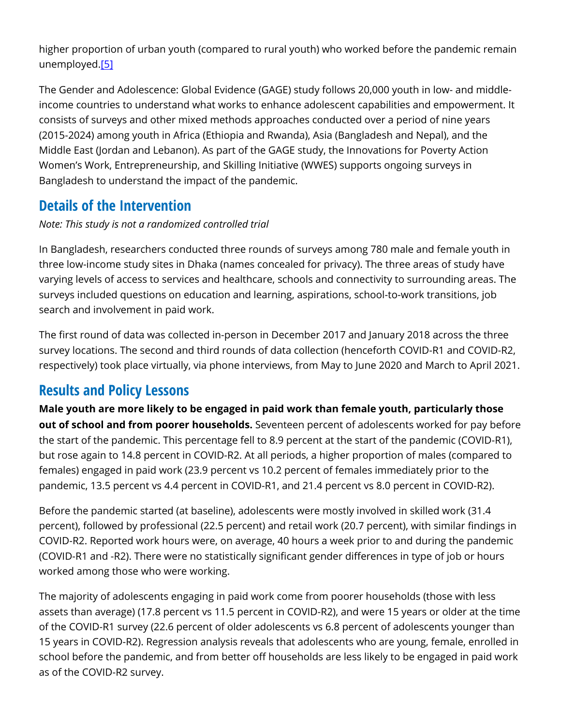higher proportion of urban youth (compared to rural youth) who worked before the pandemic remain unemployed.[\[5\]](https://www.poverty-action.org/printpdf/48556#_ftn3)

The Gender and Adolescence: Global Evidence (GAGE) study follows 20,000 youth in low- and middleincome countries to understand what works to enhance adolescent capabilities and empowerment. It consists of surveys and other mixed methods approaches conducted over a period of nine years (2015-2024) among youth in Africa (Ethiopia and Rwanda), Asia (Bangladesh and Nepal), and the Middle East (Jordan and Lebanon). As part of the GAGE study, the Innovations for Poverty Action Women's Work, Entrepreneurship, and Skilling Initiative (WWES) supports ongoing surveys in Bangladesh to understand the impact of the pandemic.

### **Details of the Intervention**

#### *Note: This study is not a randomized controlled trial*

In Bangladesh, researchers conducted three rounds of surveys among 780 male and female youth in three low-income study sites in Dhaka (names concealed for privacy). The three areas of study have varying levels of access to services and healthcare, schools and connectivity to surrounding areas. The surveys included questions on education and learning, aspirations, school-to-work transitions, job search and involvement in paid work.

The first round of data was collected in-person in December 2017 and January 2018 across the three survey locations. The second and third rounds of data collection (henceforth COVID-R1 and COVID-R2, respectively) took place virtually, via phone interviews, from May to June 2020 and March to April 2021.

### **Results and Policy Lessons**

**Male youth are more likely to be engaged in paid work than female youth, particularly those out of school and from poorer households.** Seventeen percent of adolescents worked for pay before the start of the pandemic. This percentage fell to 8.9 percent at the start of the pandemic (COVID-R1), but rose again to 14.8 percent in COVID-R2. At all periods, a higher proportion of males (compared to females) engaged in paid work (23.9 percent vs 10.2 percent of females immediately prior to the pandemic, 13.5 percent vs 4.4 percent in COVID-R1, and 21.4 percent vs 8.0 percent in COVID-R2).

Before the pandemic started (at baseline), adolescents were mostly involved in skilled work (31.4 percent), followed by professional (22.5 percent) and retail work (20.7 percent), with similar findings in COVID-R2. Reported work hours were, on average, 40 hours a week prior to and during the pandemic (COVID-R1 and -R2). There were no statistically significant gender differences in type of job or hours worked among those who were working.

The majority of adolescents engaging in paid work come from poorer households (those with less assets than average) (17.8 percent vs 11.5 percent in COVID-R2), and were 15 years or older at the time of the COVID-R1 survey (22.6 percent of older adolescents vs 6.8 percent of adolescents younger than 15 years in COVID-R2). Regression analysis reveals that adolescents who are young, female, enrolled in school before the pandemic, and from better off households are less likely to be engaged in paid work as of the COVID-R2 survey.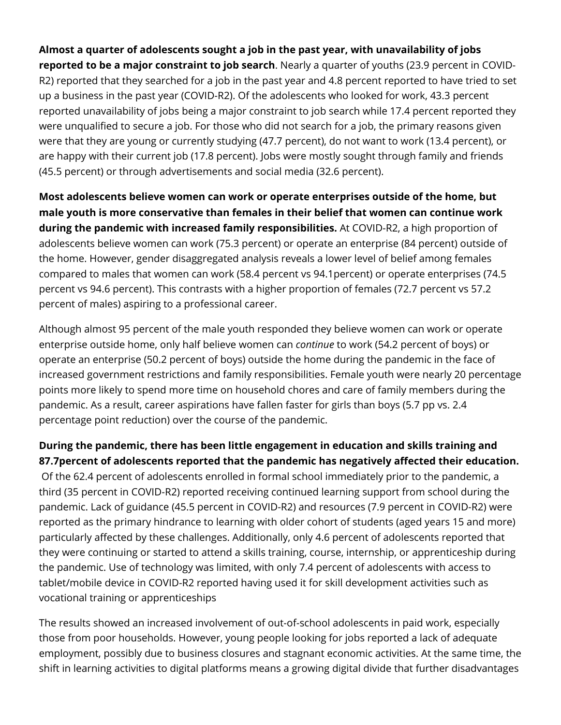**Almost a quarter of adolescents sought a job in the past year, with unavailability of jobs reported to be a major constraint to job search**. Nearly a quarter of youths (23.9 percent in COVID-R2) reported that they searched for a job in the past year and 4.8 percent reported to have tried to set up a business in the past year (COVID-R2). Of the adolescents who looked for work, 43.3 percent reported unavailability of jobs being a major constraint to job search while 17.4 percent reported they were unqualified to secure a job. For those who did not search for a job, the primary reasons given were that they are young or currently studying (47.7 percent), do not want to work (13.4 percent), or are happy with their current job (17.8 percent). Jobs were mostly sought through family and friends (45.5 percent) or through advertisements and social media (32.6 percent).

**Most adolescents believe women can work or operate enterprises outside of the home, but male youth is more conservative than females in their belief that women can continue work during the pandemic with increased family responsibilities.** At COVID-R2, a high proportion of adolescents believe women can work (75.3 percent) or operate an enterprise (84 percent) outside of the home. However, gender disaggregated analysis reveals a lower level of belief among females compared to males that women can work (58.4 percent vs 94.1percent) or operate enterprises (74.5 percent vs 94.6 percent). This contrasts with a higher proportion of females (72.7 percent vs 57.2 percent of males) aspiring to a professional career.

Although almost 95 percent of the male youth responded they believe women can work or operate enterprise outside home, only half believe women can *continue* to work (54.2 percent of boys) or operate an enterprise (50.2 percent of boys) outside the home during the pandemic in the face of increased government restrictions and family responsibilities. Female youth were nearly 20 percentage points more likely to spend more time on household chores and care of family members during the pandemic. As a result, career aspirations have fallen faster for girls than boys (5.7 pp vs. 2.4 percentage point reduction) over the course of the pandemic.

#### **During the pandemic, there has been little engagement in education and skills training and 87.7percent of adolescents reported that the pandemic has negatively affected their education.**

 Of the 62.4 percent of adolescents enrolled in formal school immediately prior to the pandemic, a third (35 percent in COVID-R2) reported receiving continued learning support from school during the pandemic. Lack of guidance (45.5 percent in COVID-R2) and resources (7.9 percent in COVID-R2) were reported as the primary hindrance to learning with older cohort of students (aged years 15 and more) particularly affected by these challenges. Additionally, only 4.6 percent of adolescents reported that they were continuing or started to attend a skills training, course, internship, or apprenticeship during the pandemic. Use of technology was limited, with only 7.4 percent of adolescents with access to tablet/mobile device in COVID-R2 reported having used it for skill development activities such as vocational training or apprenticeships

The results showed an increased involvement of out-of-school adolescents in paid work, especially those from poor households. However, young people looking for jobs reported a lack of adequate employment, possibly due to business closures and stagnant economic activities. At the same time, the shift in learning activities to digital platforms means a growing digital divide that further disadvantages